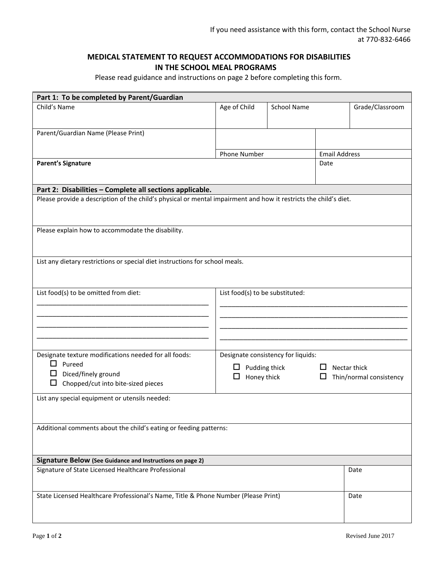## **MEDICAL STATEMENT TO REQUEST ACCOMMODATIONS FOR DISABILITIES IN THE SCHOOL MEAL PROGRAMS**

Please read guidance and instructions on page 2 before completing this form.

| Part 1: To be completed by Parent/Guardian                                                                       |                                    |                    |                      |                         |  |
|------------------------------------------------------------------------------------------------------------------|------------------------------------|--------------------|----------------------|-------------------------|--|
| Child's Name                                                                                                     | Age of Child                       | <b>School Name</b> |                      | Grade/Classroom         |  |
|                                                                                                                  |                                    |                    |                      |                         |  |
| Parent/Guardian Name (Please Print)                                                                              |                                    |                    |                      |                         |  |
|                                                                                                                  |                                    |                    |                      |                         |  |
|                                                                                                                  | <b>Phone Number</b>                |                    | <b>Email Address</b> |                         |  |
| <b>Parent's Signature</b>                                                                                        |                                    |                    | Date                 |                         |  |
|                                                                                                                  |                                    |                    |                      |                         |  |
| Part 2: Disabilities - Complete all sections applicable.                                                         |                                    |                    |                      |                         |  |
| Please provide a description of the child's physical or mental impairment and how it restricts the child's diet. |                                    |                    |                      |                         |  |
|                                                                                                                  |                                    |                    |                      |                         |  |
|                                                                                                                  |                                    |                    |                      |                         |  |
| Please explain how to accommodate the disability.                                                                |                                    |                    |                      |                         |  |
|                                                                                                                  |                                    |                    |                      |                         |  |
|                                                                                                                  |                                    |                    |                      |                         |  |
| List any dietary restrictions or special diet instructions for school meals.                                     |                                    |                    |                      |                         |  |
|                                                                                                                  |                                    |                    |                      |                         |  |
|                                                                                                                  |                                    |                    |                      |                         |  |
| List food(s) to be omitted from diet:                                                                            | List food(s) to be substituted:    |                    |                      |                         |  |
|                                                                                                                  |                                    |                    |                      |                         |  |
|                                                                                                                  |                                    |                    |                      |                         |  |
|                                                                                                                  |                                    |                    |                      |                         |  |
|                                                                                                                  |                                    |                    |                      |                         |  |
| Designate texture modifications needed for all foods:                                                            | Designate consistency for liquids: |                    |                      |                         |  |
| $\Box$ Pureed                                                                                                    | Pudding thick                      |                    |                      | $\Box$ Nectar thick     |  |
| Diced/finely ground<br>ப                                                                                         | Honey thick<br>ப                   |                    | ப                    | Thin/normal consistency |  |
| Chopped/cut into bite-sized pieces                                                                               |                                    |                    |                      |                         |  |
| List any special equipment or utensils needed:                                                                   |                                    |                    |                      |                         |  |
|                                                                                                                  |                                    |                    |                      |                         |  |
|                                                                                                                  |                                    |                    |                      |                         |  |
| Additional comments about the child's eating or feeding patterns:                                                |                                    |                    |                      |                         |  |
|                                                                                                                  |                                    |                    |                      |                         |  |
|                                                                                                                  |                                    |                    |                      |                         |  |
| Signature Below (See Guidance and Instructions on page 2)                                                        |                                    |                    |                      |                         |  |
| Signature of State Licensed Healthcare Professional                                                              |                                    |                    |                      | Date                    |  |
|                                                                                                                  |                                    |                    |                      |                         |  |
| State Licensed Healthcare Professional's Name, Title & Phone Number (Please Print)                               |                                    |                    |                      | Date                    |  |
|                                                                                                                  |                                    |                    |                      |                         |  |
|                                                                                                                  |                                    |                    |                      |                         |  |